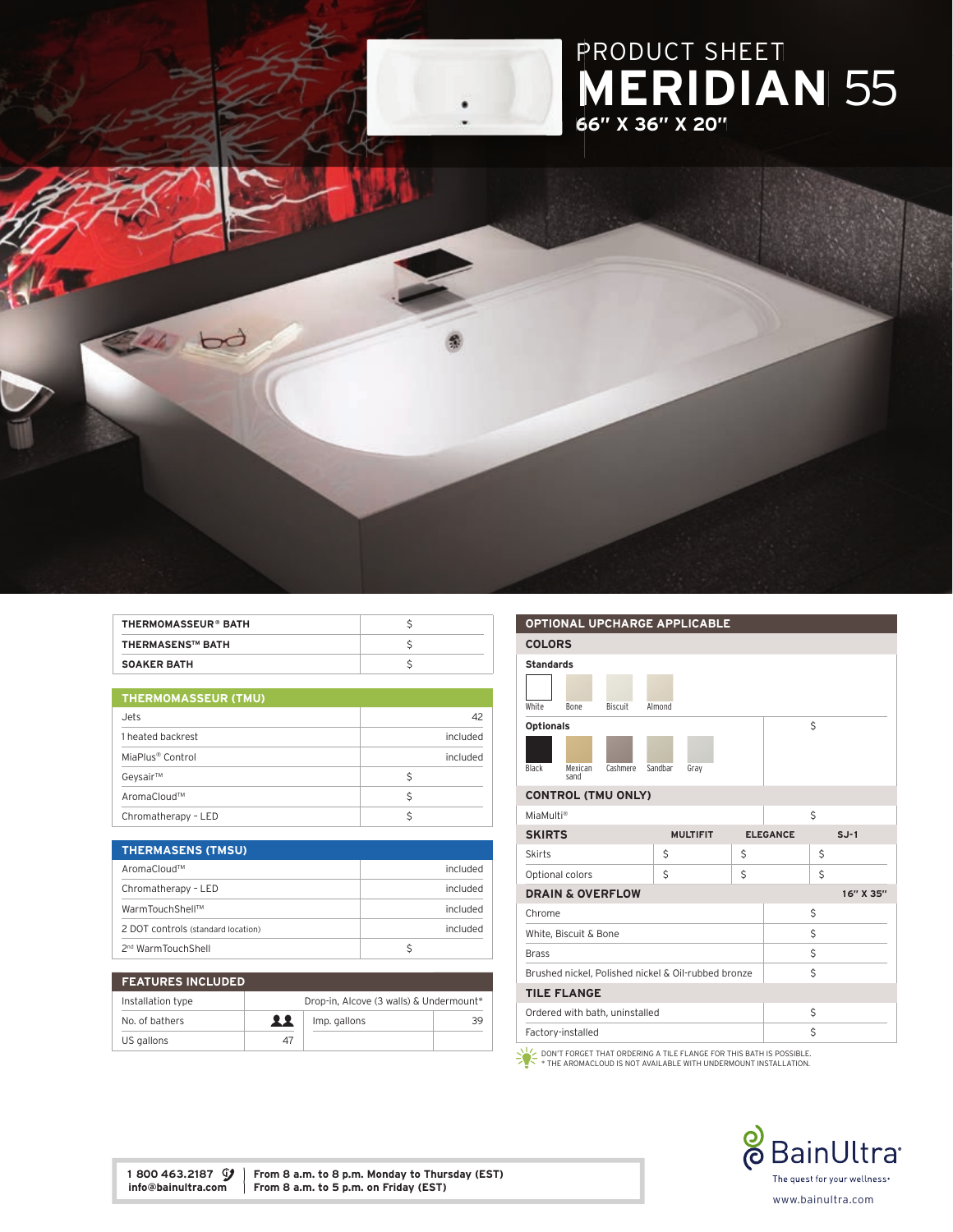

| <b>THERMOMASSEUR® BATH</b> |  |
|----------------------------|--|
| <b>THERMASENS™ BATH</b>    |  |
| <b>SOAKER BATH</b>         |  |

| <b>THERMOMASSEUR (TMU)</b>   |          |  |
|------------------------------|----------|--|
| Jets.                        | 42       |  |
| 1 heated backrest            | included |  |
| MiaPlus <sup>®</sup> Control | included |  |
| Geysair™                     | Ś        |  |
| AromaCloud™                  | Ś        |  |
| Chromatherapy - LED          |          |  |

| <b>THERMASENS (TMSU)</b>           |          |
|------------------------------------|----------|
| AromaCloud™                        | included |
| Chromatherapy - LED                | included |
| WarmTouchShell™                    | included |
| 2 DOT controls (standard location) | included |
| 2 <sup>nd</sup> WarmTouchShell     |          |

| <b>FEATURES INCLUDED</b> |                                         |              |    |
|--------------------------|-----------------------------------------|--------------|----|
| Installation type        | Drop-in, Alcove (3 walls) & Undermount* |              |    |
| No. of bathers           | , ,                                     | Imp. gallons | 39 |
| US gallons               | 47                                      |              |    |

## OPTIONAL UPCHARGE APPLICABLE COLORS Standards White Bone Biscuit Almond Optionals Black Mexican sand Cashmere Sandbar Gray \$ CONTROL (TMU ONLY) MiaMulti®  $\zeta$ SKIRTS MULTIFIT ELEGANCE SJ-1 Skirts  $\begin{array}{ccc} \vert & \zeta & \vert & \zeta & \vert \end{array}$ Optional colors \$ \$ \$ **DRAIN & OVERFLOW** 16" X 35" Chrome  $\sim$  \$ White, Biscuit & Bone  $\sim$  \$  $Brass$   $\zeta$ Brushed nickel, Polished nickel & Oil-rubbed bronze  $\sim$ \$ TILE FLANGE Ordered with bath, uninstalled \$ Factory-installed \$

DON'T FORGET THAT ORDERING A TILE FLANGE FOR THIS BATH IS POSSIBLE. \* THE AROMACLOUD IS NOT AVAILABLE WITH UNDERMOUNT INSTALLATION.